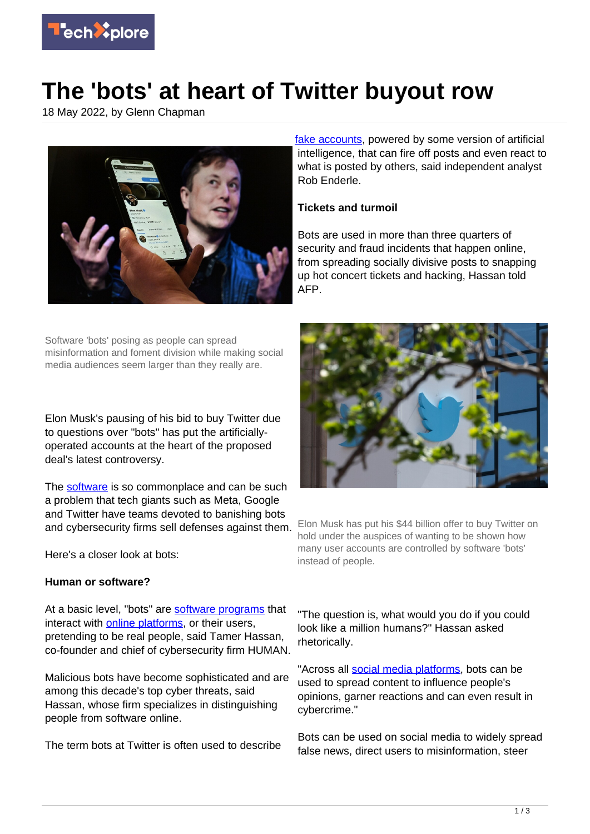

## **The 'bots' at heart of Twitter buyout row**

18 May 2022, by Glenn Chapman



Software 'bots' posing as people can spread misinformation and foment division while making social media audiences seem larger than they really are.

Elon Musk's pausing of his bid to buy Twitter due to questions over "bots" has put the artificiallyoperated accounts at the heart of the proposed deal's latest controversy.

The [software](https://techxplore.com/tags/software/) is so commonplace and can be such a problem that tech giants such as Meta, Google and Twitter have teams devoted to banishing bots and cybersecurity firms sell defenses against them.

Here's a closer look at bots:

## **Human or software?**

At a basic level, "bots" are [software programs](https://techxplore.com/tags/software+programs/) that interact with [online platforms,](https://techxplore.com/tags/online+platforms/) or their users, pretending to be real people, said Tamer Hassan, co-founder and chief of cybersecurity firm HUMAN.

Malicious bots have become sophisticated and are among this decade's top cyber threats, said Hassan, whose firm specializes in distinguishing people from software online.

The term bots at Twitter is often used to describe

[fake accounts,](https://techxplore.com/tags/fake+accounts/) powered by some version of artificial intelligence, that can fire off posts and even react to what is posted by others, said independent analyst Rob Enderle.

## **Tickets and turmoil**

Bots are used in more than three quarters of security and fraud incidents that happen online, from spreading socially divisive posts to snapping up hot concert tickets and hacking, Hassan told AFP.



Elon Musk has put his \$44 billion offer to buy Twitter on hold under the auspices of wanting to be shown how many user accounts are controlled by software 'bots' instead of people.

"The question is, what would you do if you could look like a million humans?" Hassan asked rhetorically.

"Across all [social media platforms,](https://techxplore.com/tags/social+media+platforms/) bots can be used to spread content to influence people's opinions, garner reactions and can even result in cybercrime."

Bots can be used on social media to widely spread false news, direct users to misinformation, steer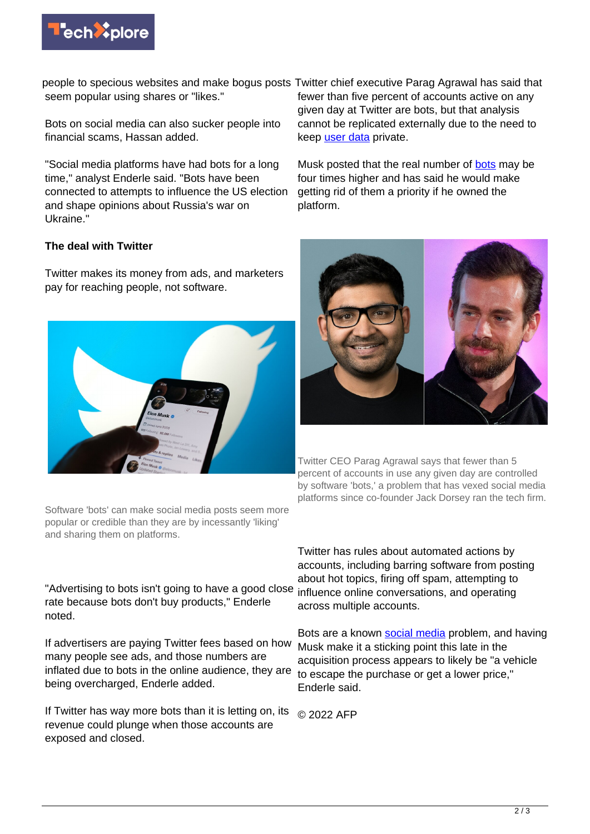

people to specious websites and make bogus posts Twitter chief executive Parag Agrawal has said that seem popular using shares or "likes."

Bots on social media can also sucker people into financial scams, Hassan added.

"Social media platforms have had bots for a long time," analyst Enderle said. "Bots have been connected to attempts to influence the US election and shape opinions about Russia's war on Ukraine."

## **The deal with Twitter**

Twitter makes its money from ads, and marketers pay for reaching people, not software.



fewer than five percent of accounts active on any given day at Twitter are bots, but that analysis cannot be replicated externally due to the need to keep [user data](https://techxplore.com/tags/user+data/) private.

Musk posted that the real number of [bots](https://techxplore.com/tags/bots/) may be four times higher and has said he would make getting rid of them a priority if he owned the platform.



Twitter CEO Parag Agrawal says that fewer than 5 percent of accounts in use any given day are controlled by software 'bots,' a problem that has vexed social media platforms since co-founder Jack Dorsey ran the tech firm.

Software 'bots' can make social media posts seem more popular or credible than they are by incessantly 'liking' and sharing them on platforms.

"Advertising to bots isn't going to have a good close rate because bots don't buy products," Enderle noted.

If advertisers are paying Twitter fees based on how many people see ads, and those numbers are inflated due to bots in the online audience, they are being overcharged, Enderle added.

If Twitter has way more bots than it is letting on, its revenue could plunge when those accounts are exposed and closed.

Twitter has rules about automated actions by accounts, including barring software from posting about hot topics, firing off spam, attempting to influence online conversations, and operating across multiple accounts.

Bots are a known [social media](https://techxplore.com/tags/social+media/) problem, and having Musk make it a sticking point this late in the acquisition process appears to likely be "a vehicle to escape the purchase or get a lower price," Enderle said.

© 2022 AFP